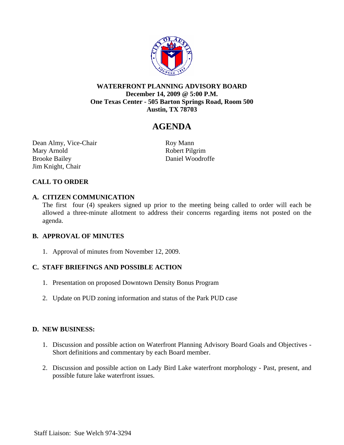

### **WATERFRONT PLANNING ADVISORY BOARD December 14, 2009 @ 5:00 P.M. One Texas Center - 505 Barton Springs Road, Room 500 Austin, TX 78703**

# **AGENDA**

Dean Almy, Vice-Chair Roy Mann Mary Arnold Robert Pilgrim Brooke Bailey Daniel Woodroffe Jim Knight, Chair

## **CALL TO ORDER**

#### **A. CITIZEN COMMUNICATION**

The first four (4) speakers signed up prior to the meeting being called to order will each be allowed a three-minute allotment to address their concerns regarding items not posted on the agenda.

### **B. APPROVAL OF MINUTES**

1. Approval of minutes from November 12, 2009.

### **C. STAFF BRIEFINGS AND POSSIBLE ACTION**

- 1. Presentation on proposed Downtown Density Bonus Program
- 2. Update on PUD zoning information and status of the Park PUD case

### **D. NEW BUSINESS:**

- 1. Discussion and possible action on Waterfront Planning Advisory Board Goals and Objectives Short definitions and commentary by each Board member.
- 2. Discussion and possible action on Lady Bird Lake waterfront morphology Past, present, and possible future lake waterfront issues.